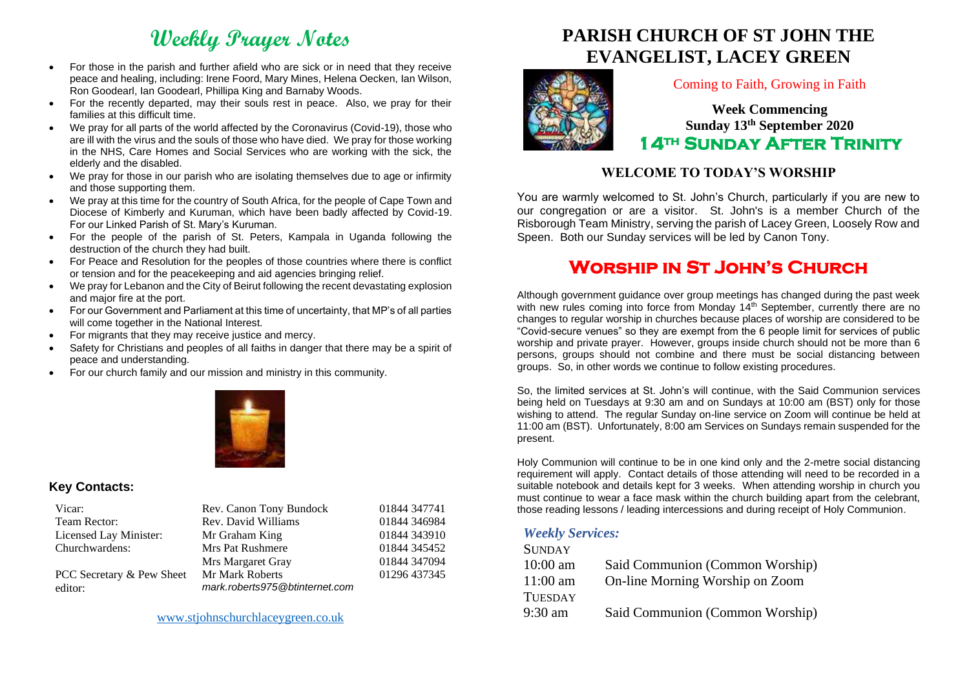# **Weekly Prayer Notes**

- For those in the parish and further afield who are sick or in need that they receive peace and healing, including: Irene Foord, Mary Mines, Helena Oecken, Ian Wilson, Ron Goodearl, Ian Goodearl, Phillipa King and Barnaby Woods.
- For the recently departed, may their souls rest in peace. Also, we pray for their families at this difficult time.
- We pray for all parts of the world affected by the Coronavirus (Covid-19), those who are ill with the virus and the souls of those who have died. We pray for those working in the NHS, Care Homes and Social Services who are working with the sick, the elderly and the disabled.
- We pray for those in our parish who are isolating themselves due to age or infirmity and those supporting them.
- We pray at this time for the country of South Africa, for the people of Cape Town and Diocese of Kimberly and Kuruman, which have been badly affected by Covid-19. For our Linked Parish of St. Mary's Kuruman.
- For the people of the parish of St. Peters, Kampala in Uganda following the destruction of the church they had built.
- For Peace and Resolution for the peoples of those countries where there is conflict or tension and for the peacekeeping and aid agencies bringing relief.
- We pray for Lebanon and the City of Beirut following the recent devastating explosion and major fire at the port.
- For our Government and Parliament at this time of uncertainty, that MP's of all parties will come together in the National Interest.
- For migrants that they may receive justice and mercy.
- Safety for Christians and peoples of all faiths in danger that there may be a spirit of peace and understanding.
- For our church family and our mission and ministry in this community.



#### **Key Contacts:**

| Vicar:                               | Rev. Canon Tony Bundock                           | 01844 347741 |
|--------------------------------------|---------------------------------------------------|--------------|
| Team Rector:                         | Rev. David Williams                               | 01844 346984 |
| Licensed Lay Minister:               | Mr Graham King                                    | 01844 343910 |
| Churchwardens:                       | <b>Mrs Pat Rushmere</b>                           | 01844 345452 |
|                                      | Mrs Margaret Gray                                 | 01844 347094 |
| PCC Secretary & Pew Sheet<br>editor: | Mr Mark Roberts<br>mark.roberts975@btinternet.com | 01296 437345 |

# **PARISH CHURCH OF ST JOHN THE EVANGELIST, LACEY GREEN**



### Coming to Faith, Growing in Faith

**Week Commencing Sunday 13th September 2020 14th Sunday After Trinity** 

### **WELCOME TO TODAY'S WORSHIP**

You are warmly welcomed to St. John's Church, particularly if you are new to our congregation or are a visitor. St. John's is a member Church of the Risborough Team Ministry, serving the parish of Lacey Green, Loosely Row and Speen. Both our Sunday services will be led by Canon Tony.

# **Worship in St John's Church**

Although government guidance over group meetings has changed during the past week with new rules coming into force from Monday 14<sup>th</sup> September, currently there are no changes to regular worship in churches because places of worship are considered to be "Covid-secure venues" so they are exempt from the 6 people limit for services of public worship and private prayer. However, groups inside church should not be more than 6 persons, groups should not combine and there must be social distancing between groups. So, in other words we continue to follow existing procedures.

So, the limited services at St. John's will continue, with the Said Communion services being held on Tuesdays at 9:30 am and on Sundays at 10:00 am (BST) only for those wishing to attend. The regular Sunday on-line service on Zoom will continue be held at 11:00 am (BST). Unfortunately, 8:00 am Services on Sundays remain suspended for the present.

Holy Communion will continue to be in one kind only and the 2-metre social distancing requirement will apply. Contact details of those attending will need to be recorded in a suitable notebook and details kept for 3 weeks. When attending worship in church you must continue to wear a face mask within the church building apart from the celebrant, those reading lessons / leading intercessions and during receipt of Holy Communion.

#### *Weekly Services:*

| <b>SUNDAY</b>  |                                 |
|----------------|---------------------------------|
| $10:00$ am     | Said Communion (Common Worship) |
| $11:00$ am     | On-line Morning Worship on Zoom |
| <b>TUESDAY</b> |                                 |
| 9:30 am        | Said Communion (Common Worship) |
|                |                                 |